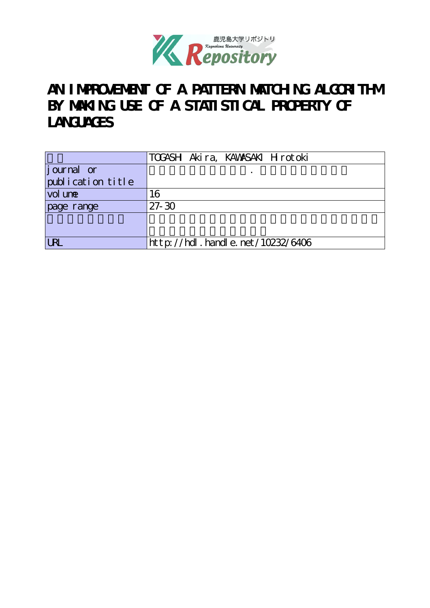

# AN I MPROVEMENT OF A PATTERN MATCHING ALGORITHM **BY MAKING USE OF A STATISTICAL PROPERTY OF LANGUAGES**

|                   | TOGASH Akira, KAWASAKI Hirotoki  |
|-------------------|----------------------------------|
| journal or        |                                  |
| publication title |                                  |
| vol une           | 16                               |
| page range        | $27 - 30$                        |
|                   |                                  |
|                   |                                  |
| IRI               | http://hdl.handle.net/10232/6406 |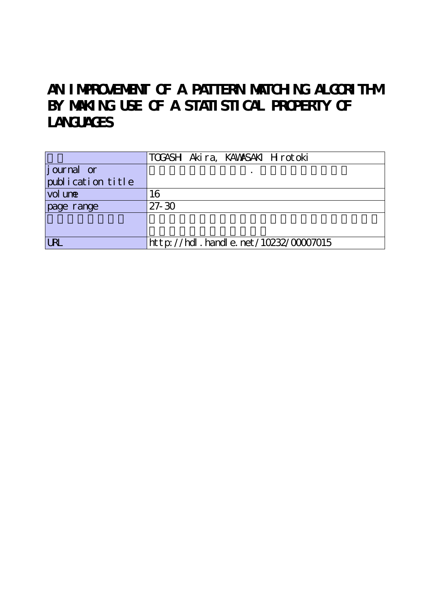# AN IMPROVEMENT OF A PATTERN MATCHING ALGORITHM **BY MAKING USE OF A STATISTICAL PROPERTY OF LANGUAGES**

|                   | TOGASH Akira, KAWASAKI Hirotoki           |
|-------------------|-------------------------------------------|
| journal or        |                                           |
| publication title |                                           |
| vol une           | 16                                        |
| page range        | $27 - 30$                                 |
|                   |                                           |
|                   |                                           |
| <b>URL</b>        | $http$ ://hdl. handle. net/10232/00007015 |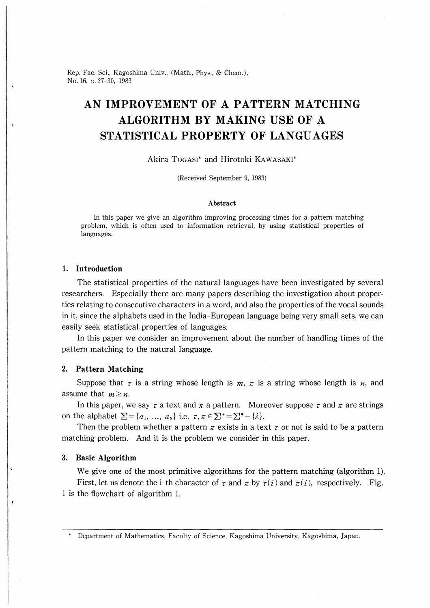Rep. Fac. Sci., Kagoshima Univ., (Math., Phys., & Chem.), No.16, p.27-30, 1983

### AN IMPROVEMENT OF A PATTERN MATCHING ALGORITHM BY MAKING USE OF A STATISTICAL PROPERTY OF LANGUAGES

#### Akira Togasi\* and Hirotoki Kawasaki\*

(Received September 9, 1983)

#### Abstract

In this paper we give an algorithm improving processing times for a pattern matching problem, which is often used to information retrieval, by using statistical properties of languages.

#### 1. Introduction

The statistical properties of the natural languages have been investigated by several researchers. Especially there are many papers describing the investigation about properties relating to consecutive characters in a word, and also the properties of the vocal sounds in it, since the alphabets used in the India-European language being very small sets, we can easily seek statistical properties of languages.

In this paper we consider an improvement about the number of handling times of the pattern matching to the natural language.

#### 2. Pattern Matching

Suppose that  $\tau$  is a string whose length is  $m, \pi$  is a string whose length is  $n$ , and assume that  $m \geq n$ .

In this paper, we say  $\tau$  a text and  $\pi$  a pattern. Moreover suppose  $\tau$  and  $\pi$  are strings on the alphabet  $\Sigma = \{a_1, ..., a_s\}$  i.e.  $\tau, \pi \in \Sigma^+ = \Sigma^* - \{\lambda\}.$ 

Then the problem whether a pattern  $\pi$  exists in a text  $\tau$  or not is said to be a pattern matching problem. And it is the problem we consider in this paper.

#### 3. Basic Algorithm

We give one of the most primitive algorithms for the pattern matching (algorithm 1). First, let us denote the i-th character of  $\tau$  and  $\pi$  by  $\tau(i)$  and  $\pi(i)$ , respectively. Fig. 1 is the flowchart of algorithm 1.

Department of Mathematics, Faculty of Science, Kagoshima University, Kagoshima, Japan.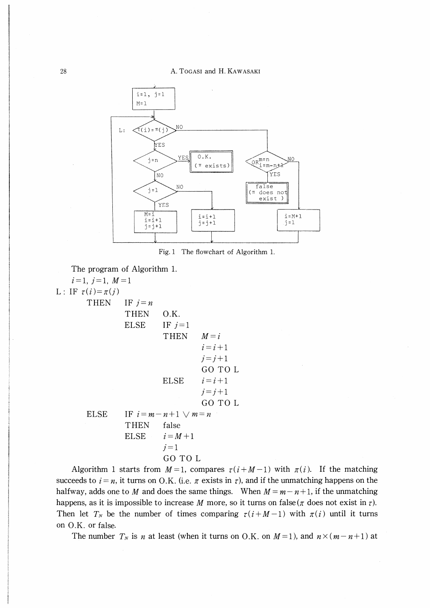

Fig. 1 The flowchart of Algorithm 1.



 $i=1, j=1, M=1$ L: IF  $\tau(i) = \pi(j)$ THEN IF  $j=n$ THEN O.K. ELSE IF  $j=1$ THEN  $M=i$  $i=i+1$  $j=j+1$ GO TO L ELSE  $i=i+1$  $j=j+1$ GO TO L ELSE IF  $i=m-n+1 \vee m=n$ THEN false ELSE  $i=M+1$  $i=1$ GO TO L

Algorithm 1 starts from  $M=1$ , compares  $\tau(i+M-1)$  with  $\pi(i)$ . If the matching succeeds to  $i = n$ , it turns on O.K. (i.e.  $\pi$  exists in  $\tau$ ), and if the unmatching happens on the halfway, adds one to M and does the same things. When  $M = m - n + 1$ , if the unmatching happens, as it is impossible to increase M more, so it turns on false( $\pi$  does not exist in  $\tau$ ). Then let  $T_N$  be the number of times comparing  $\tau(i+M-1)$  with  $\pi(i)$  until it turns on O.K. or false.

The number  $T_N$  is n at least (when it turns on O.K. on  $M=1$ ), and  $n\times(m-n+1)$  at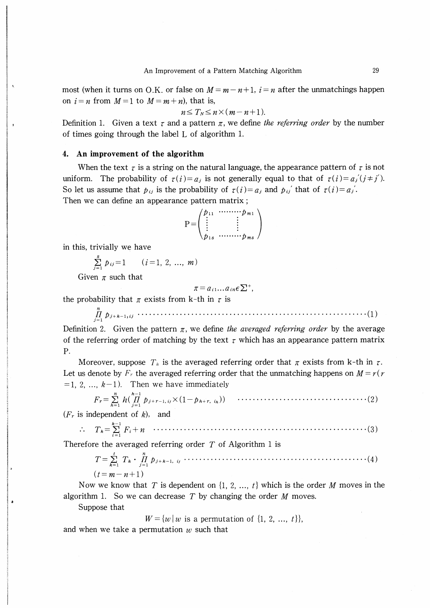most (when it turns on O.K. or false on  $M=m-n+1$ ,  $i=n$  after the unmatchings happen on  $i = n$  from  $M=1$  to  $M=m+n$ ), that is,

$$
n \leq T_N \leq n \times (m-n+1).
$$

Definition 1. Given a text  $\tau$  and a pattern  $\pi$ , we define the referring order by the number of times going through the label L of algorithm 1.

#### 4. An improvement of the algorithm

When the text  $\tau$  is a string on the natural language, the appearance pattern of  $\tau$  is not uniform. The probability of  $\tau(i)=a_j$  is not generally equal to that of  $\tau(i)=a_j(i\neq j')$ . So let us assume that  $p_{ij}$  is the probability of  $\tau(i) = a_j$  and  $p_{ij}$  that of  $\tau(i) = a_j$ . Then we can define an appearance pattern matrix;

$$
P = \begin{pmatrix} p_{11} & \cdots & p_{m1} \\ \vdots & & \vdots \\ p_{1s} & \cdots & p_{ms} \end{pmatrix}
$$

in this, trivially we have

t) m川川 umm山川日掛仙打hmRHH国肌川mmmWm川川川mm川N相 川川M川仙川m川mmm川帆山川仙川矧川川仙 川川仙川脚h川相川川

$$
\sum_{j=1}^{s} p_{ij} = 1 \qquad (i = 1, 2, ..., m)
$$

Given  $\pi$  such that

$$
r = a_{i1} \dots a_{in} \epsilon \sum^{+},
$$

the probability that  $\pi$  exists from k-th in  $\tau$  is

n Hbj十k-ljtj -- -・・----・・・- - -- �(1) .7-1

Definition 2. Given the pattern  $\pi$ , we define the averaged referring order by the average of the referring order of matching by the text  $\tau$  which has an appearance pattern matrix P.

Moreover, suppose  $T_k$  is the averaged referring order that  $\pi$  exists from k-th in  $\tau$ . Let us denote by  $F_r$  the averaged referring order that the unmatching happens on  $M = r(r)$  $=1, 2, \ldots, k-1$ ). Then we have immediately

n h-¥ F,-∑ hinpji+r-l,ijX(1 Ph+r, ih)) .7-1

 $(F_r$  is independent of  $k$ ), and

k-1 ∴ Tk-∑Ft+n 1-1

Therefore the averaged referring order  $T$  of Algorithm 1 is

t n T-∑ Tk�npJ+k-i. ----・-・--・-・--・・・--・- �(4) .7-1 ¥t-m-n+¥)

Now we know that T is dependent on  $\{1, 2, ..., t\}$  which is the order M moves in the algorithm 1. So we can decrease  $T$  by changing the order  $M$  moves.

Suppose that

 $W = \{w \mid w$  is a permutation of  $\{1, 2, ..., t\}\},\$ 

and when we take a permutation  $w$  such that